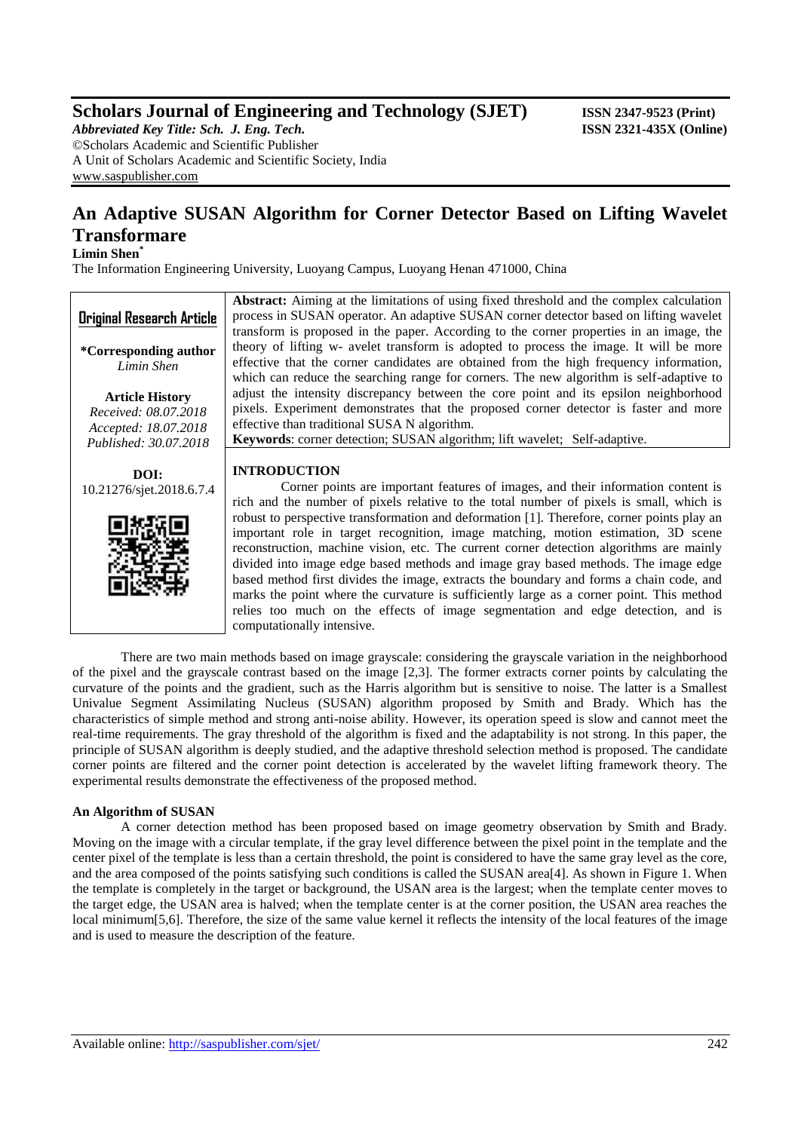## **Scholars Journal of Engineering and Technology (SJET) ISSN 2347-9523 (Print)**

*Abbreviated Key Title: Sch. J. Eng. Tech.* **ISSN 2321-435X** (Online) ©Scholars Academic and Scientific Publisher A Unit of Scholars Academic and Scientific Society, India [www.saspublisher.com](http://www.saspublisher.com/)

# **An Adaptive SUSAN Algorithm for Corner Detector Based on Lifting Wavelet Transformare**

## **Limin Shen\***

The Information Engineering University, Luoyang Campus, Luoyang Henan 471000, China

computationally intensive.

| <b>Original Research Article</b>               | <b>Abstract:</b> Aiming at the limitations of using fixed threshold and the complex calculation<br>process in SUSAN operator. An adaptive SUSAN corner detector based on lifting wavelet<br>transform is proposed in the paper. According to the corner properties in an image, the                                                                                                                                                                                                                                                                     |
|------------------------------------------------|---------------------------------------------------------------------------------------------------------------------------------------------------------------------------------------------------------------------------------------------------------------------------------------------------------------------------------------------------------------------------------------------------------------------------------------------------------------------------------------------------------------------------------------------------------|
| *Corresponding author<br>Limin Shen            | theory of lifting w- avelet transform is adopted to process the image. It will be more<br>effective that the corner candidates are obtained from the high frequency information,<br>which can reduce the searching range for corners. The new algorithm is self-adaptive to                                                                                                                                                                                                                                                                             |
| <b>Article History</b><br>Received: 08.07.2018 | adjust the intensity discrepancy between the core point and its epsilon neighborhood<br>pixels. Experiment demonstrates that the proposed corner detector is faster and more<br>effective than traditional SUSA N algorithm.                                                                                                                                                                                                                                                                                                                            |
| Accepted: 18.07.2018<br>Published: 30.07.2018  | Keywords: corner detection; SUSAN algorithm; lift wavelet; Self-adaptive.                                                                                                                                                                                                                                                                                                                                                                                                                                                                               |
| DOI:<br>10.21276/sjet.2018.6.7.4               | <b>INTRODUCTION</b><br>Corner points are important features of images, and their information content is<br>rich and the number of pixels relative to the total number of pixels is small, which is                                                                                                                                                                                                                                                                                                                                                      |
|                                                | robust to perspective transformation and deformation [1]. Therefore, corner points play an<br>important role in target recognition, image matching, motion estimation, 3D scene<br>reconstruction, machine vision, etc. The current corner detection algorithms are mainly<br>divided into image edge based methods and image gray based methods. The image edge<br>based method first divides the image, extracts the boundary and forms a chain code, and<br>marks the point where the curvature is sufficiently large as a corner point. This method |

There are two main methods based on image grayscale: considering the grayscale variation in the neighborhood of the pixel and the grayscale contrast based on the image [2,3]. The former extracts corner points by calculating the curvature of the points and the gradient, such as the Harris algorithm but is sensitive to noise. The latter is a Smallest Univalue Segment Assimilating Nucleus (SUSAN) algorithm proposed by Smith and Brady. Which has the characteristics of simple method and strong anti-noise ability. However, its operation speed is slow and cannot meet the real-time requirements. The gray threshold of the algorithm is fixed and the adaptability is not strong. In this paper, the principle of SUSAN algorithm is deeply studied, and the adaptive threshold selection method is proposed. The candidate corner points are filtered and the corner point detection is accelerated by the wavelet lifting framework theory. The experimental results demonstrate the effectiveness of the proposed method.

relies too much on the effects of image segmentation and edge detection, and is

## **An Algorithm of SUSAN**

A corner detection method has been proposed based on image geometry observation by Smith and Brady. Moving on the image with a circular template, if the gray level difference between the pixel point in the template and the center pixel of the template is less than a certain threshold, the point is considered to have the same gray level as the core, and the area composed of the points satisfying such conditions is called the SUSAN area[4]. As shown in Figure 1. When the template is completely in the target or background, the USAN area is the largest; when the template center moves to the target edge, the USAN area is halved; when the template center is at the corner position, the USAN area reaches the local minimum[5,6]. Therefore, the size of the same value kernel it reflects the intensity of the local features of the image and is used to measure the description of the feature.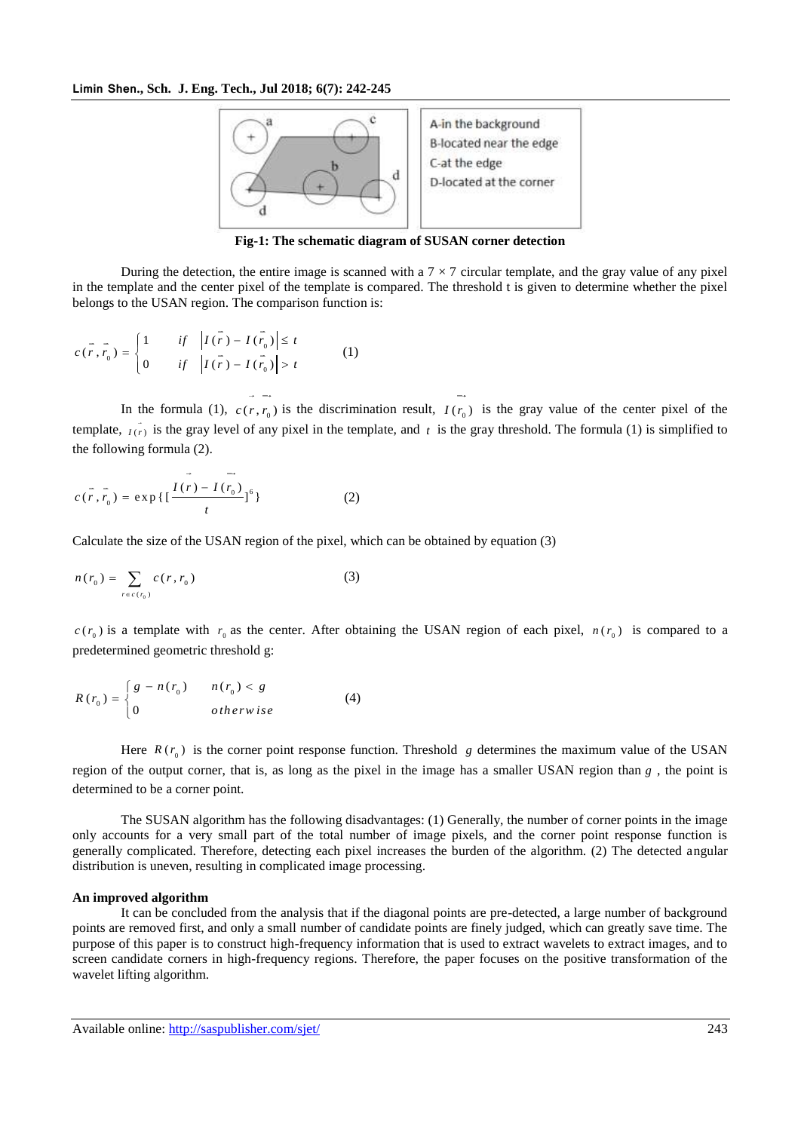

**Fig-1: The schematic diagram of SUSAN corner detection**

During the detection, the entire image is scanned with a  $7 \times 7$  circular template, and the gray value of any pixel in the template and the center pixel of the template is compared. The threshold t is given to determine whether the pixel belongs to the USAN region. The comparison function is:

$$
c(\vec{r}, \vec{r}_0) = \begin{cases} 1 & \text{if } \left| I(\vec{r}) - I(\vec{r}_0) \right| \le t \\ 0 & \text{if } \left| I(\vec{r}) - I(\vec{r}_0) \right| > t \end{cases}
$$
 (1)

In the formula (1),  $c(r, r_0)$  is the discrimination result,  $I(r_0)$  is the gray value of the center pixel of the template,  $I(r)$  is the gray level of any pixel in the template, and t is the gray threshold. The formula (1) is simplified to the following formula (2).

$$
c(r, r_0) = \exp\left\{ \left[ \frac{I(r) - I(r_0)}{t} \right]^6 \right\}
$$
 (2)

Calculate the size of the USAN region of the pixel, which can be obtained by equation (3)

$$
n(r_0) = \sum_{r \in c(r_0)} c(r, r_0)
$$
 (3)

 $c(r_0)$  is a template with  $r_0$  as the center. After obtaining the USAN region of each pixel,  $n(r_0)$  is compared to a predetermined geometric threshold g:

$$
R(r_0) = \begin{cases} g - n(r_0) & n(r_0) < g \\ 0 & otherwise \end{cases}
$$
 (4)

Here  $R(r_0)$  is the corner point response function. Threshold g determines the maximum value of the USAN region of the output corner, that is, as long as the pixel in the image has a smaller USAN region than  $g$ , the point is determined to be a corner point.

The SUSAN algorithm has the following disadvantages: (1) Generally, the number of corner points in the image only accounts for a very small part of the total number of image pixels, and the corner point response function is generally complicated. Therefore, detecting each pixel increases the burden of the algorithm. (2) The detected angular distribution is uneven, resulting in complicated image processing.

## **An improved algorithm**

It can be concluded from the analysis that if the diagonal points are pre-detected, a large number of background points are removed first, and only a small number of candidate points are finely judged, which can greatly save time. The purpose of this paper is to construct high-frequency information that is used to extract wavelets to extract images, and to screen candidate corners in high-frequency regions. Therefore, the paper focuses on the positive transformation of the wavelet lifting algorithm.

Available online: <http://saspublisher.com/sjet/> 243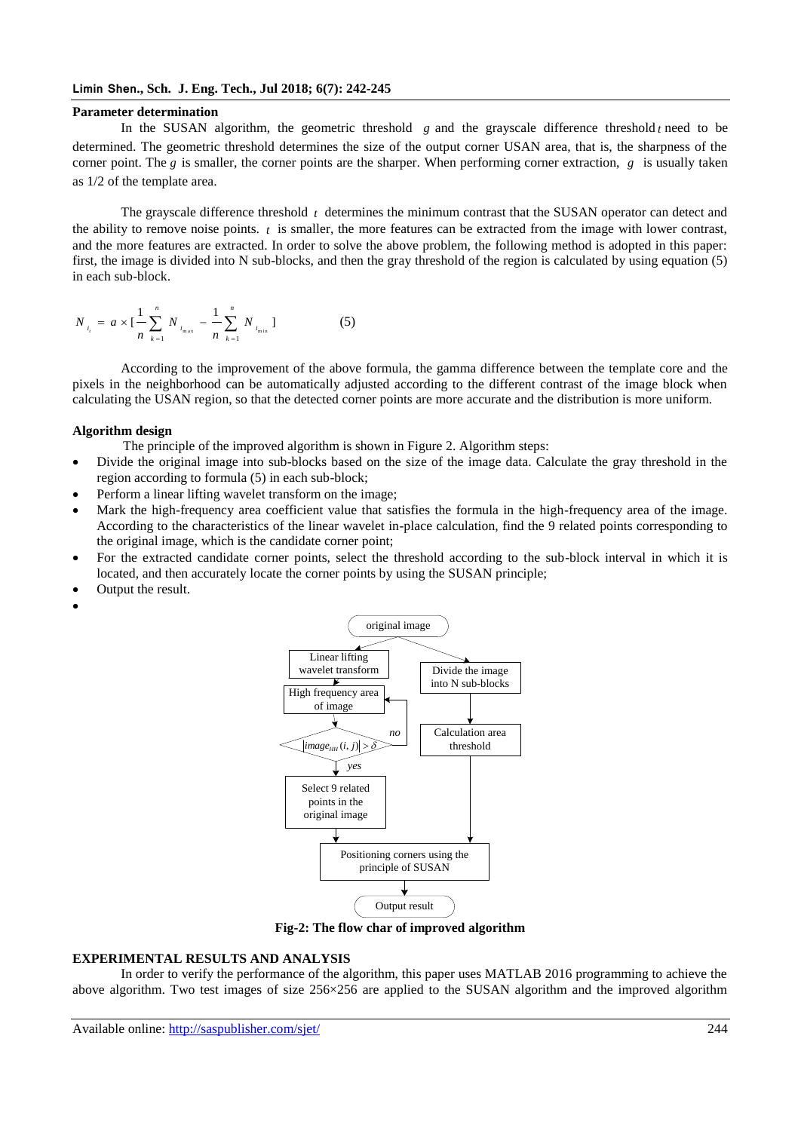#### **Limin Shen., Sch. J. Eng. Tech., Jul 2018; 6(7): 242-245**

#### **Parameter determination**

In the SUSAN algorithm, the geometric threshold  $g$  and the grayscale difference threshold  $t$  need to be determined. The geometric threshold determines the size of the output corner USAN area, that is, the sharpness of the corner point. The g is smaller, the corner points are the sharper. When performing corner extraction,  $g$  is usually taken as 1/2 of the template area.

The grayscale difference threshold *t* determines the minimum contrast that the SUSAN operator can detect and the ability to remove noise points.  $t$  is smaller, the more features can be extracted from the image with lower contrast, and the more features are extracted. In order to solve the above problem, the following method is adopted in this paper: first, the image is divided into N sub-blocks, and then the gray threshold of the region is calculated by using equation (5) in each sub-block.

$$
N_{i_t} = a \times \left[\frac{1}{n} \sum_{k=1}^n N_{i_{\max}} - \frac{1}{n} \sum_{k=1}^n N_{i_{\min}}\right]
$$
 (5)

According to the improvement of the above formula, the gamma difference between the template core and the pixels in the neighborhood can be automatically adjusted according to the different contrast of the image block when calculating the USAN region, so that the detected corner points are more accurate and the distribution is more uniform.

#### **Algorithm design**

- The principle of the improved algorithm is shown in Figure 2. Algorithm steps:
- Divide the original image into sub-blocks based on the size of the image data. Calculate the gray threshold in the region according to formula (5) in each sub-block;
- Perform a linear lifting wavelet transform on the image;
- Mark the high-frequency area coefficient value that satisfies the formula in the high-frequency area of the image. According to the characteristics of the linear wavelet in-place calculation, find the 9 related points corresponding to the original image, which is the candidate corner point;
- For the extracted candidate corner points, select the threshold according to the sub-block interval in which it is located, and then accurately locate the corner points by using the SUSAN principle;
- Output the result.
- $\bullet$



**Fig-2: The flow char of improved algorithm**

#### **EXPERIMENTAL RESULTS AND ANALYSIS**

In order to verify the performance of the algorithm, this paper uses MATLAB 2016 programming to achieve the above algorithm. Two test images of size 256×256 are applied to the SUSAN algorithm and the improved algorithm